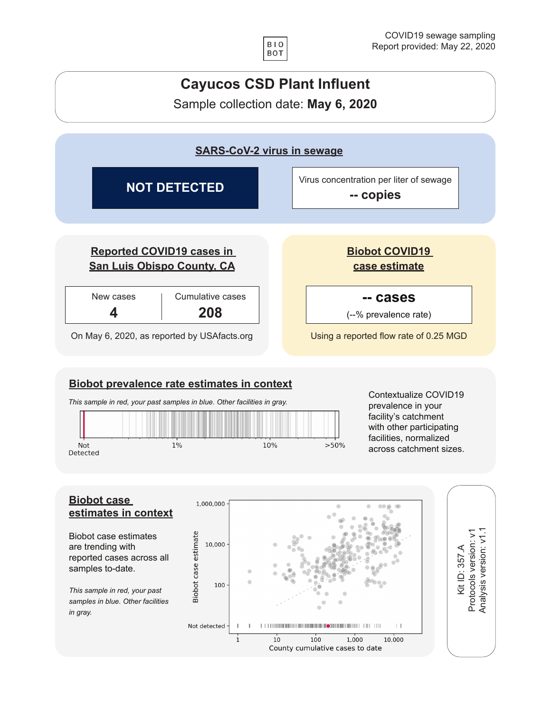



 $\mathbf{1}$ 

 $10$ 

 $100$ 

County cumulative cases to date

 $1,000$ 

10,000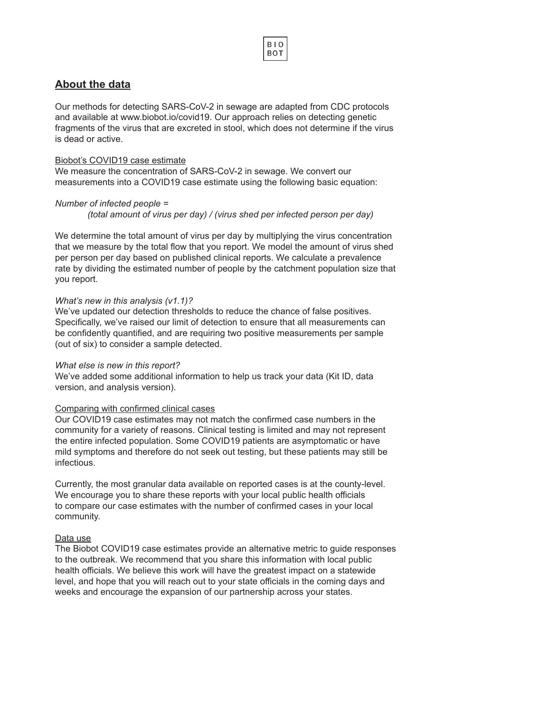## **About the data**

Our methods for detecting SARS-CoV-2 in sewage are adapted from CDC protocols and available at www.biobot.io/covid19. Our approach relies on detecting genetic fragments of the virus that are excreted in stool, which does not determine if the virus is dead or active.

**BIO BOT** 

#### Biobot's COVID19 case estimate

We measure the concentration of SARS-CoV-2 in sewage. We convert our measurements into a COVID19 case estimate using the following basic equation:

### *Number of infected people =*

*(total amount of virus per day) / (virus shed per infected person per day)*

We determine the total amount of virus per day by multiplying the virus concentration that we measure by the total flow that you report. We model the amount of virus shed per person per day based on published clinical reports. We calculate a prevalence rate by dividing the estimated number of people by the catchment population size that you report.

#### *What's new in this analysis (v1.1)?*

We've updated our detection thresholds to reduce the chance of false positives. Specifically, we've raised our limit of detection to ensure that all measurements can be confidently quantified, and are requiring two positive measurements per sample (out of six) to consider a sample detected.

### *What else is new in this report?*

We've added some additional information to help us track your data (Kit ID, data version, and analysis version).

### Comparing with confirmed clinical cases

Our COVID19 case estimates may not match the confirmed case numbers in the community for a variety of reasons. Clinical testing is limited and may not represent the entire infected population. Some COVID19 patients are asymptomatic or have mild symptoms and therefore do not seek out testing, but these patients may still be infectious.

Currently, the most granular data available on reported cases is at the county-level. We encourage you to share these reports with your local public health officials to compare our case estimates with the number of confirmed cases in your local community.

### Data use

The Biobot COVID19 case estimates provide an alternative metric to guide responses to the outbreak. We recommend that you share this information with local public health officials. We believe this work will have the greatest impact on a statewide level, and hope that you will reach out to your state officials in the coming days and weeks and encourage the expansion of our partnership across your states.